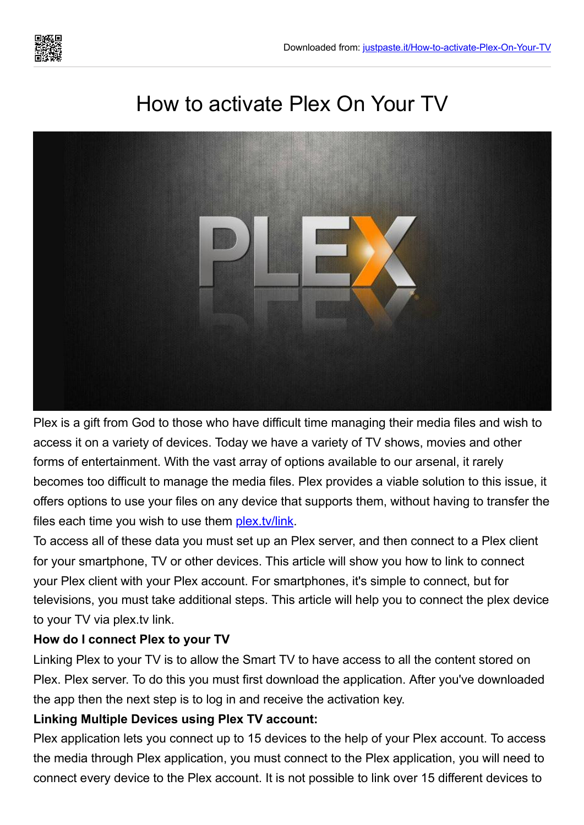

# How to activate Plex On Your TV



Plex is a gift from God to those who have difficult time managing their media files and wish to access it on a variety of devices. Today we have a variety of TV shows, movies and other forms of entertainment. With the vast array of options available to our arsenal, it rarely becomes too difficult to manage the media files. Plex provides a viable solution to this issue, it offers options to use your files on any device that supports them, without having to transfer the files each time you wish to use them [plex.tv/link](https://justpaste.it/redirect/How-to-activate-Plex-On-Your-TV/https://plextvvlink.com/).

To access all of these data you must set up an Plex server, and then connect to a Plex client for your smartphone, TV or other devices. This article will show you how to link to connect your Plex client with your Plex account. For smartphones, it's simple to connect, but for televisions, you must take additional steps. This article will help you to connect the plex device to your TV via plex.tv link.

## **How do I connect Plex to your TV**

Linking Plex to your TV is to allow the Smart TV to have access to all the content stored on Plex. Plex server. To do this you must first download the application. After you've downloaded the app then the next step is to log in and receive the activation key.

## **Linking Multiple Devices using Plex TV account:**

Plex application lets you connect up to 15 devices to the help of your Plex account. To access the media through Plex application, you must connect to the Plex application, you will need to connect every device to the Plex account. It is not possible to link over 15 different devices to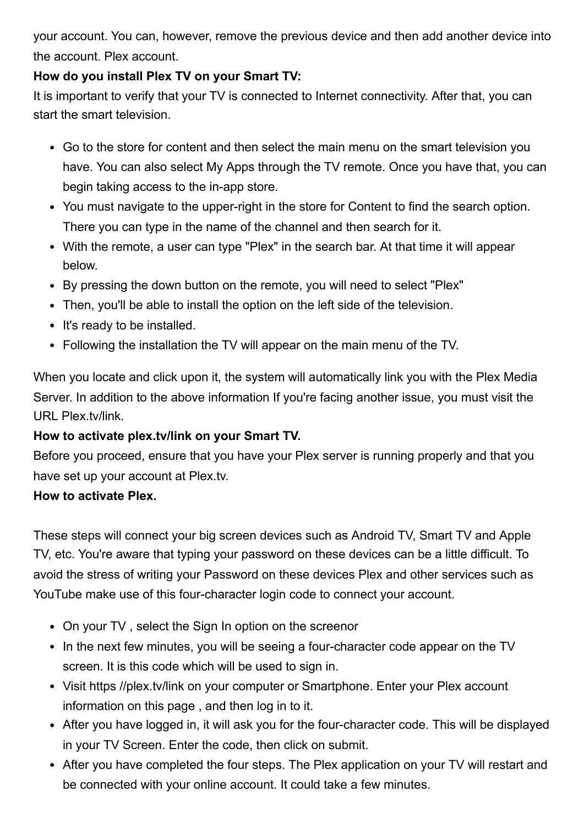your account. You can, however, remove the previous device and then add another device into the account. Plex account.

# **How do you install Plex TV on your Smart TV:**

It is important to verify that your TV is connected to Internet connectivity. After that, you can start the smart television.

- Go to the store for content and then select the main menu on the smart television you have. You can also select My Apps through the TV remote. Once you have that, you can begin taking access to the in-app store.
- You must navigate to the upper-right in the store for Content to find the search option. There you can type in the name of the channel and then search for it.
- With the remote, a user can type "Plex" in the search bar. At that time it will appear below.
- By pressing the down button on the remote, you will need to select "Plex"
- Then, you'll be able to install the option on the left side of the television.
- It's ready to be installed.
- Following the installation the TV will appear on the main menu of the TV.

When you locate and click upon it, the system will automatically link you with the Plex Media Server. In addition to the above information If you're facing another issue, you must visit the URL Plex.tv/link.

## **How to activate plex.tv/link on your Smart TV.**

Before you proceed, ensure that you have your Plex server is running properly and that you have set up your account at Plex.tv.

## **How to activate Plex.**

These steps will connect your big screen devices such as Android TV, Smart TV and Apple TV, etc. You're aware that typing your password on these devices can be a little difficult. To avoid the stress of writing your Password on these devices Plex and other services such as YouTube make use of this four-character login code to connect your account.

- On your TV, select the Sign In option on the screenor
- In the next few minutes, you will be seeing a four-character code appear on the TV screen. It is this code which will be used to sign in.
- Visit https //plex.tv/link on your computer or Smartphone. Enter your Plex account information on this page , and then log in to it.
- After you have logged in, it will ask you for the four-character code. This will be displayed in your TV Screen. Enter the code, then click on submit.
- After you have completed the four steps. The Plex application on your TV will restart and be connected with your online account. It could take a few minutes.